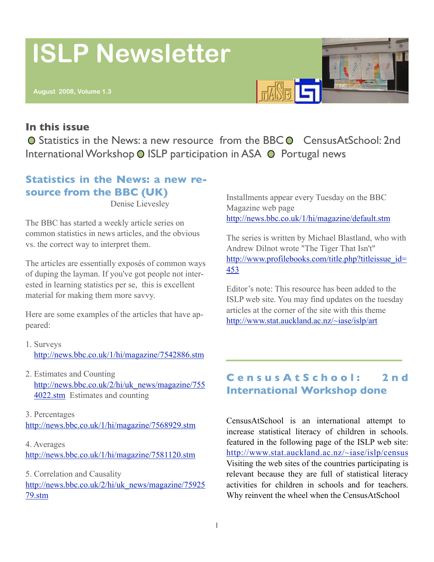# **ISLP Newsletter**

## **In this issue**

○ Statistics in the News: a new resource from the BBC ● CensusAtSchool: 2nd International Workshop O ISLP participation in ASA O Portugal news

# **Statistics in the News: a new resource from the BBC (UK)**

Denise Lievesley

The BBC has started a weekly article series on common statistics in news articles, and the obvious vs. the correct way to interpret them.

The articles are essentially exposés of common ways of duping the layman. If you've got people not interested in learning statistics per se, this is excellent material for making them more savvy.

Here are some examples of the articles that have appeared:

- 1. Surveys <http://news.bbc.co.uk/1/hi/magazine/7542886.stm>
- 2. Estimates and Counting [http://news.bbc.co.uk/2/hi/uk\\_news/magazine/755](http://news.bbc.co.uk/2/hi/uk_news/magazine/7554022.stm) [4022.stm](http://news.bbc.co.uk/2/hi/uk_news/magazine/7554022.stm) Estimates and counting

3. Percentages <http://news.bbc.co.uk/1/hi/magazine/7568929.stm>

4. Averages <http://news.bbc.co.uk/1/hi/magazine/7581120.stm>

5. Correlation and Causality [http://news.bbc.co.uk/2/hi/uk\\_news/magazine/75925](http://news.bbc.co.uk/2/hi/uk_news/magazine/7592579.stm) [79.stm](http://news.bbc.co.uk/2/hi/uk_news/magazine/7592579.stm)

Installments appear every Tuesday on the BBC Magazine web page <http://news.bbc.co.uk/1/hi/magazine/default.stm>

The series is written by Michael Blastland, who with Andrew Dilnot wrote "The Tiger That Isn't" [http://www.profilebooks.com/title.php?titleissue\\_id=](http://www.profilebooks.com/title.php?titleissue_id=453) [453](http://www.profilebooks.com/title.php?titleissue_id=453)

Editor's note: This resource has been added to the ISLP web site. You may find updates on the tuesday articles at the corner of the site with this theme <http://www.stat.auckland.ac.nz/~iase/islp/art>

# **C e n s u s A t S c h o o l : 2 n d International Workshop done**

CensusAtSchool is an international attempt to increase statistical literacy of children in schools. featured in the following page of the ISLP web site: <http://www.stat.auckland.ac.nz/~iase/islp/census> Visiting the web sites of the countries participating is relevant because they are full of statistical literacy activities for children in schools and for teachers. Why reinvent the wheel when the CensusAtSchool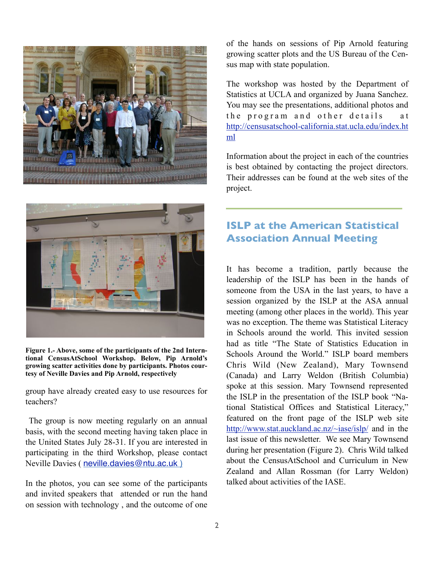

of the hands on sessions of Pip Arnold featuring growing scatter plots and the US Bureau of the Census map with state population.

The workshop was hosted by the Department of Statistics at UCLA and organized by Juana Sanchez. You may see the presentations, additional photos and the program and other details at [http://censusatschool-california.stat.ucla.edu/index.ht](http://censusatschool-california.stat.ucla.edu/index.html) [ml](http://censusatschool-california.stat.ucla.edu/index.html)

Information about the project in each of the countries is best obtained by contacting the project directors. Their addresses can be found at the web sites of the project.



**Figure 1.- Above, some of the participants of the 2nd Interntional CensusAtSchool Workshop. Below, Pip Arnold's growing scatter activities done by participants. Photos courtesy of Neville Davies and Pip Arnold, respectively**

group have already created easy to use resources for teachers?

 The group is now meeting regularly on an annual basis, with the second meeting having taken place in the United States July 28-31. If you are interested in participating in the third Workshop, please contact Neville Davies ( [neville.davies@ntu.ac.uk](mailto:neville.davies@ntu.ac.uk) )

In the photos, you can see some of the participants and invited speakers that attended or run the hand on session with technology , and the outcome of one

# **ISLP at the American Statistical Association Annual Meeting**

It has become a tradition, partly because the leadership of the ISLP has been in the hands of someone from the USA in the last years, to have a session organized by the ISLP at the ASA annual meeting (among other places in the world). This year was no exception. The theme was Statistical Literacy in Schools around the world. This invited session had as title "The State of Statistics Education in Schools Around the World." ISLP board members Chris Wild (New Zealand), Mary Townsend (Canada) and Larry Weldon (British Columbia) spoke at this session. Mary Townsend represented the ISLP in the presentation of the ISLP book "National Statistical Offices and Statistical Literacy," featured on the front page of the ISLP web site <http://www.stat.auckland.ac.nz/~iase/islp/>and in the last issue of this newsletter. We see Mary Townsend during her presentation (Figure 2). Chris Wild talked about the CensusAtSchool and Curriculum in New Zealand and Allan Rossman (for Larry Weldon) talked about activities of the IASE.